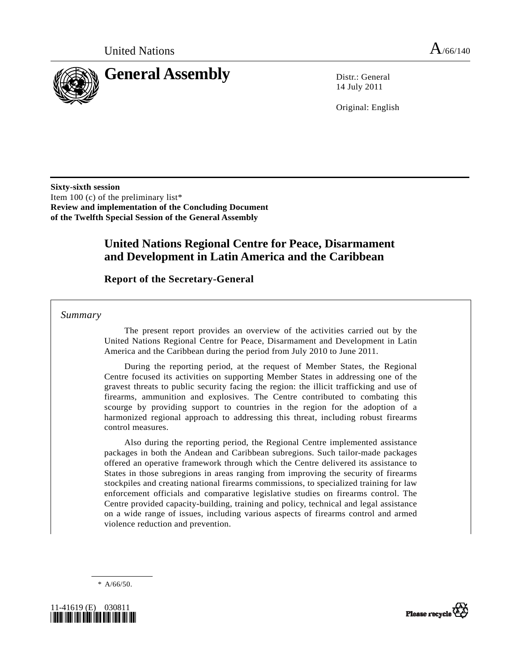

14 July 2011

Original: English

**Sixty-sixth session**  Item 100 (c) of the preliminary list\* **Review and implementation of the Concluding Document of the Twelfth Special Session of the General Assembly** 

## **United Nations Regional Centre for Peace, Disarmament and Development in Latin America and the Caribbean**

### **Report of the Secretary-General**

 *Summary* 

 The present report provides an overview of the activities carried out by the United Nations Regional Centre for Peace, Disarmament and Development in Latin America and the Caribbean during the period from July 2010 to June 2011.

 During the reporting period, at the request of Member States, the Regional Centre focused its activities on supporting Member States in addressing one of the gravest threats to public security facing the region: the illicit trafficking and use of firearms, ammunition and explosives. The Centre contributed to combating this scourge by providing support to countries in the region for the adoption of a harmonized regional approach to addressing this threat, including robust firearms control measures.

 Also during the reporting period, the Regional Centre implemented assistance packages in both the Andean and Caribbean subregions. Such tailor-made packages offered an operative framework through which the Centre delivered its assistance to States in those subregions in areas ranging from improving the security of firearms stockpiles and creating national firearms commissions, to specialized training for law enforcement officials and comparative legislative studies on firearms control. The Centre provided capacity-building, training and policy, technical and legal assistance on a wide range of issues, including various aspects of firearms control and armed violence reduction and prevention.

\* A/66/50.



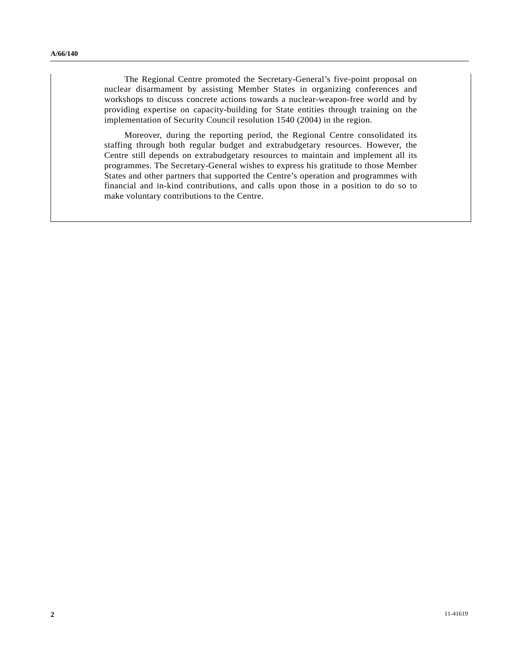The Regional Centre promoted the Secretary-General's five-point proposal on nuclear disarmament by assisting Member States in organizing conferences and workshops to discuss concrete actions towards a nuclear-weapon-free world and by providing expertise on capacity-building for State entities through training on the implementation of Security Council resolution 1540 (2004) in the region.

 Moreover, during the reporting period, the Regional Centre consolidated its staffing through both regular budget and extrabudgetary resources. However, the Centre still depends on extrabudgetary resources to maintain and implement all its programmes. The Secretary-General wishes to express his gratitude to those Member States and other partners that supported the Centre's operation and programmes with financial and in-kind contributions, and calls upon those in a position to do so to make voluntary contributions to the Centre.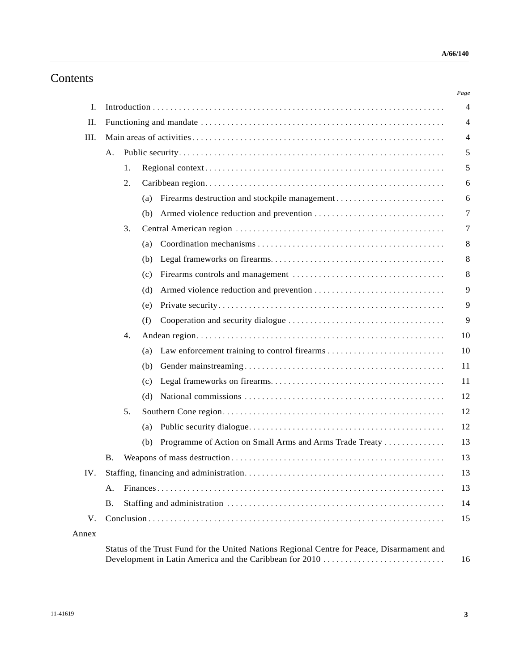# Contents

| II.  |           |    |                                                                |  |
|------|-----------|----|----------------------------------------------------------------|--|
| III. |           |    |                                                                |  |
|      | А.        |    |                                                                |  |
|      |           | 1. |                                                                |  |
|      |           | 2. |                                                                |  |
|      |           |    | (a)                                                            |  |
|      |           |    | (b)                                                            |  |
|      |           | 3. |                                                                |  |
|      |           |    | (a)                                                            |  |
|      |           |    | (b)                                                            |  |
|      |           |    | (c)                                                            |  |
|      |           |    | (d)                                                            |  |
|      |           |    | (e)                                                            |  |
|      |           |    | (f)                                                            |  |
|      |           | 4. |                                                                |  |
|      |           |    | (a)                                                            |  |
|      |           |    | (b)                                                            |  |
|      |           |    | (c)                                                            |  |
|      |           |    | (d)                                                            |  |
|      |           | 5. |                                                                |  |
|      |           |    | (a)                                                            |  |
|      |           |    | Programme of Action on Small Arms and Arms Trade Treaty<br>(b) |  |
|      | Β.        |    |                                                                |  |
|      |           |    |                                                                |  |
|      | А.        |    |                                                                |  |
|      | <b>B.</b> |    |                                                                |  |
| V.   |           |    |                                                                |  |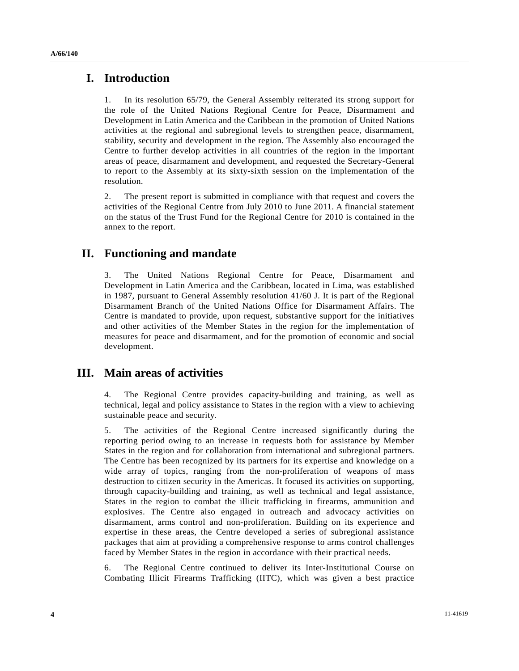**A/66/140** 

### **I. Introduction**

1. In its resolution 65/79, the General Assembly reiterated its strong support for the role of the United Nations Regional Centre for Peace, Disarmament and Development in Latin America and the Caribbean in the promotion of United Nations activities at the regional and subregional levels to strengthen peace, disarmament, stability, security and development in the region. The Assembly also encouraged the Centre to further develop activities in all countries of the region in the important areas of peace, disarmament and development, and requested the Secretary-General to report to the Assembly at its sixty-sixth session on the implementation of the resolution.

2. The present report is submitted in compliance with that request and covers the activities of the Regional Centre from July 2010 to June 2011. A financial statement on the status of the Trust Fund for the Regional Centre for 2010 is contained in the annex to the report.

### **II. Functioning and mandate**

3. The United Nations Regional Centre for Peace, Disarmament and Development in Latin America and the Caribbean, located in Lima, was established in 1987, pursuant to General Assembly resolution 41/60 J. It is part of the Regional Disarmament Branch of the United Nations Office for Disarmament Affairs. The Centre is mandated to provide, upon request, substantive support for the initiatives and other activities of the Member States in the region for the implementation of measures for peace and disarmament, and for the promotion of economic and social development.

## **III. Main areas of activities**

4. The Regional Centre provides capacity-building and training, as well as technical, legal and policy assistance to States in the region with a view to achieving sustainable peace and security.

5. The activities of the Regional Centre increased significantly during the reporting period owing to an increase in requests both for assistance by Member States in the region and for collaboration from international and subregional partners. The Centre has been recognized by its partners for its expertise and knowledge on a wide array of topics, ranging from the non-proliferation of weapons of mass destruction to citizen security in the Americas. It focused its activities on supporting, through capacity-building and training, as well as technical and legal assistance, States in the region to combat the illicit trafficking in firearms, ammunition and explosives. The Centre also engaged in outreach and advocacy activities on disarmament, arms control and non-proliferation. Building on its experience and expertise in these areas, the Centre developed a series of subregional assistance packages that aim at providing a comprehensive response to arms control challenges faced by Member States in the region in accordance with their practical needs.

6. The Regional Centre continued to deliver its Inter-Institutional Course on Combating Illicit Firearms Trafficking (IITC), which was given a best practice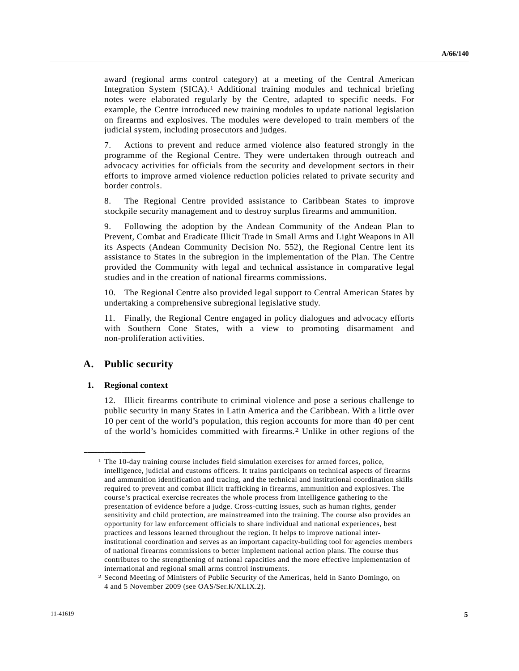award (regional arms control category) at a meeting of the Central American Integration System (SICA).[1](#page-4-0) Additional training modules and technical briefing notes were elaborated regularly by the Centre, adapted to specific needs. For example, the Centre introduced new training modules to update national legislation on firearms and explosives. The modules were developed to train members of the judicial system, including prosecutors and judges.

7. Actions to prevent and reduce armed violence also featured strongly in the programme of the Regional Centre. They were undertaken through outreach and advocacy activities for officials from the security and development sectors in their efforts to improve armed violence reduction policies related to private security and border controls.

8. The Regional Centre provided assistance to Caribbean States to improve stockpile security management and to destroy surplus firearms and ammunition.

9. Following the adoption by the Andean Community of the Andean Plan to Prevent, Combat and Eradicate Illicit Trade in Small Arms and Light Weapons in All its Aspects (Andean Community Decision No. 552), the Regional Centre lent its assistance to States in the subregion in the implementation of the Plan. The Centre provided the Community with legal and technical assistance in comparative legal studies and in the creation of national firearms commissions.

10. The Regional Centre also provided legal support to Central American States by undertaking a comprehensive subregional legislative study.

11. Finally, the Regional Centre engaged in policy dialogues and advocacy efforts with Southern Cone States, with a view to promoting disarmament and non-proliferation activities.

#### **A. Public security**

#### **1. Regional context**

<span id="page-4-0"></span>**\_\_\_\_\_\_\_\_\_\_\_\_\_\_\_\_\_\_** 

12. Illicit firearms contribute to criminal violence and pose a serious challenge to public security in many States in Latin America and the Caribbean. With a little over 10 per cent of the world's population, this region accounts for more than 40 per cent of the world's homicides committed with firearms.[2](#page-4-1) Unlike in other regions of the

<sup>&</sup>lt;sup>1</sup> The 10-day training course includes field simulation exercises for armed forces, police, intelligence, judicial and customs officers. It trains participants on technical aspects of firearms and ammunition identification and tracing, and the technical and institutional coordination skills required to prevent and combat illicit trafficking in firearms, ammunition and explosives. The course's practical exercise recreates the whole process from intelligence gathering to the presentation of evidence before a judge. Cross-cutting issues, such as human rights, gender sensitivity and child protection, are mainstreamed into the training. The course also provides an opportunity for law enforcement officials to share individual and national experiences, best practices and lessons learned throughout the region. It helps to improve national interinstitutional coordination and serves as an important capacity-building tool for agencies members of national firearms commissions to better implement national action plans. The course thus contributes to the strengthening of national capacities and the more effective implementation of international and regional small arms control instruments.

<span id="page-4-1"></span><sup>2</sup> Second Meeting of Ministers of Public Security of the Americas, held in Santo Domingo, on 4 and 5 November 2009 (see OAS/Ser.K/XLIX.2).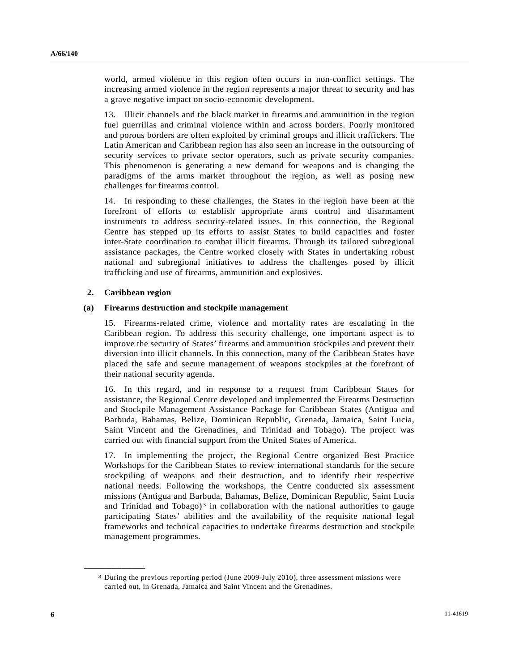world, armed violence in this region often occurs in non-conflict settings. The increasing armed violence in the region represents a major threat to security and has a grave negative impact on socio-economic development.

13. Illicit channels and the black market in firearms and ammunition in the region fuel guerrillas and criminal violence within and across borders. Poorly monitored and porous borders are often exploited by criminal groups and illicit traffickers. The Latin American and Caribbean region has also seen an increase in the outsourcing of security services to private sector operators, such as private security companies. This phenomenon is generating a new demand for weapons and is changing the paradigms of the arms market throughout the region, as well as posing new challenges for firearms control.

14. In responding to these challenges, the States in the region have been at the forefront of efforts to establish appropriate arms control and disarmament instruments to address security-related issues. In this connection, the Regional Centre has stepped up its efforts to assist States to build capacities and foster inter-State coordination to combat illicit firearms. Through its tailored subregional assistance packages, the Centre worked closely with States in undertaking robust national and subregional initiatives to address the challenges posed by illicit trafficking and use of firearms, ammunition and explosives.

#### **2. Caribbean region**

<span id="page-5-0"></span>**\_\_\_\_\_\_\_\_\_\_\_\_\_\_\_\_\_\_** 

#### **(a) Firearms destruction and stockpile management**

15. Firearms-related crime, violence and mortality rates are escalating in the Caribbean region. To address this security challenge, one important aspect is to improve the security of States' firearms and ammunition stockpiles and prevent their diversion into illicit channels. In this connection, many of the Caribbean States have placed the safe and secure management of weapons stockpiles at the forefront of their national security agenda.

16. In this regard, and in response to a request from Caribbean States for assistance, the Regional Centre developed and implemented the Firearms Destruction and Stockpile Management Assistance Package for Caribbean States (Antigua and Barbuda, Bahamas, Belize, Dominican Republic, Grenada, Jamaica, Saint Lucia, Saint Vincent and the Grenadines, and Trinidad and Tobago). The project was carried out with financial support from the United States of America.

17. In implementing the project, the Regional Centre organized Best Practice Workshops for the Caribbean States to review international standards for the secure stockpiling of weapons and their destruction, and to identify their respective national needs. Following the workshops, the Centre conducted six assessment missions (Antigua and Barbuda, Bahamas, Belize, Dominican Republic, Saint Lucia and Trinidad and Tobago)<sup>[3](#page-5-0)</sup> in collaboration with the national authorities to gauge participating States' abilities and the availability of the requisite national legal frameworks and technical capacities to undertake firearms destruction and stockpile management programmes.

<sup>3</sup> During the previous reporting period (June 2009-July 2010), three assessment missions were carried out, in Grenada, Jamaica and Saint Vincent and the Grenadines.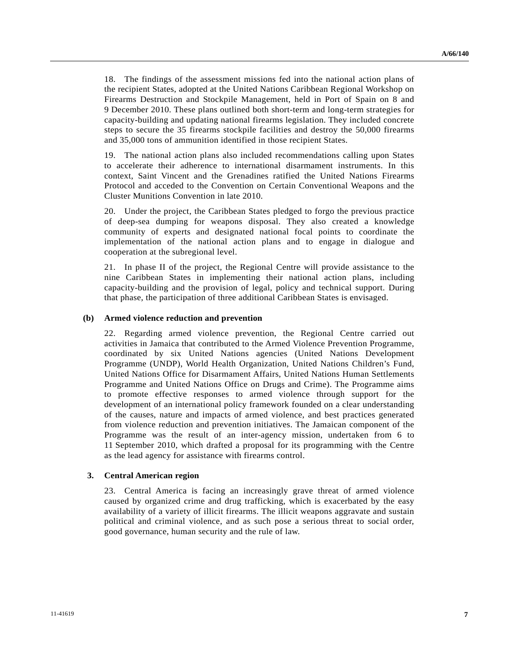18. The findings of the assessment missions fed into the national action plans of the recipient States, adopted at the United Nations Caribbean Regional Workshop on Firearms Destruction and Stockpile Management, held in Port of Spain on 8 and 9 December 2010. These plans outlined both short-term and long-term strategies for capacity-building and updating national firearms legislation. They included concrete steps to secure the 35 firearms stockpile facilities and destroy the 50,000 firearms and 35,000 tons of ammunition identified in those recipient States.

19. The national action plans also included recommendations calling upon States to accelerate their adherence to international disarmament instruments. In this context, Saint Vincent and the Grenadines ratified the United Nations Firearms Protocol and acceded to the Convention on Certain Conventional Weapons and the Cluster Munitions Convention in late 2010.

20. Under the project, the Caribbean States pledged to forgo the previous practice of deep-sea dumping for weapons disposal. They also created a knowledge community of experts and designated national focal points to coordinate the implementation of the national action plans and to engage in dialogue and cooperation at the subregional level.

21. In phase II of the project, the Regional Centre will provide assistance to the nine Caribbean States in implementing their national action plans, including capacity-building and the provision of legal, policy and technical support. During that phase, the participation of three additional Caribbean States is envisaged.

#### **(b) Armed violence reduction and prevention**

22. Regarding armed violence prevention, the Regional Centre carried out activities in Jamaica that contributed to the Armed Violence Prevention Programme, coordinated by six United Nations agencies (United Nations Development Programme (UNDP), World Health Organization, United Nations Children's Fund, United Nations Office for Disarmament Affairs, United Nations Human Settlements Programme and United Nations Office on Drugs and Crime). The Programme aims to promote effective responses to armed violence through support for the development of an international policy framework founded on a clear understanding of the causes, nature and impacts of armed violence, and best practices generated from violence reduction and prevention initiatives. The Jamaican component of the Programme was the result of an inter-agency mission, undertaken from 6 to 11 September 2010, which drafted a proposal for its programming with the Centre as the lead agency for assistance with firearms control.

#### **3. Central American region**

23. Central America is facing an increasingly grave threat of armed violence caused by organized crime and drug trafficking, which is exacerbated by the easy availability of a variety of illicit firearms. The illicit weapons aggravate and sustain political and criminal violence, and as such pose a serious threat to social order, good governance, human security and the rule of law.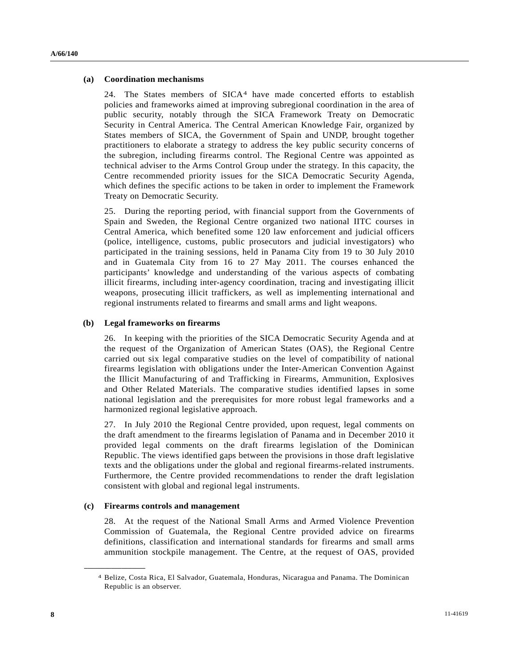#### **(a) Coordination mechanisms**

24. The States members of SICA[4](#page-7-0) have made concerted efforts to establish policies and frameworks aimed at improving subregional coordination in the area of public security, notably through the SICA Framework Treaty on Democratic Security in Central America. The Central American Knowledge Fair, organized by States members of SICA, the Government of Spain and UNDP, brought together practitioners to elaborate a strategy to address the key public security concerns of the subregion, including firearms control. The Regional Centre was appointed as technical adviser to the Arms Control Group under the strategy. In this capacity, the Centre recommended priority issues for the SICA Democratic Security Agenda, which defines the specific actions to be taken in order to implement the Framework Treaty on Democratic Security.

25. During the reporting period, with financial support from the Governments of Spain and Sweden, the Regional Centre organized two national IITC courses in Central America, which benefited some 120 law enforcement and judicial officers (police, intelligence, customs, public prosecutors and judicial investigators) who participated in the training sessions, held in Panama City from 19 to 30 July 2010 and in Guatemala City from 16 to 27 May 2011. The courses enhanced the participants' knowledge and understanding of the various aspects of combating illicit firearms, including inter-agency coordination, tracing and investigating illicit weapons, prosecuting illicit traffickers, as well as implementing international and regional instruments related to firearms and small arms and light weapons.

#### **(b) Legal frameworks on firearms**

26. In keeping with the priorities of the SICA Democratic Security Agenda and at the request of the Organization of American States (OAS), the Regional Centre carried out six legal comparative studies on the level of compatibility of national firearms legislation with obligations under the Inter-American Convention Against the Illicit Manufacturing of and Trafficking in Firearms, Ammunition, Explosives and Other Related Materials. The comparative studies identified lapses in some national legislation and the prerequisites for more robust legal frameworks and a harmonized regional legislative approach.

27. In July 2010 the Regional Centre provided, upon request, legal comments on the draft amendment to the firearms legislation of Panama and in December 2010 it provided legal comments on the draft firearms legislation of the Dominican Republic. The views identified gaps between the provisions in those draft legislative texts and the obligations under the global and regional firearms-related instruments. Furthermore, the Centre provided recommendations to render the draft legislation consistent with global and regional legal instruments.

#### **(c) Firearms controls and management**

<span id="page-7-0"></span>**\_\_\_\_\_\_\_\_\_\_\_\_\_\_\_\_\_\_** 

28. At the request of the National Small Arms and Armed Violence Prevention Commission of Guatemala, the Regional Centre provided advice on firearms definitions, classification and international standards for firearms and small arms ammunition stockpile management. The Centre, at the request of OAS, provided

<sup>4</sup> Belize, Costa Rica, El Salvador, Guatemala, Honduras, Nicaragua and Panama. The Dominican Republic is an observer.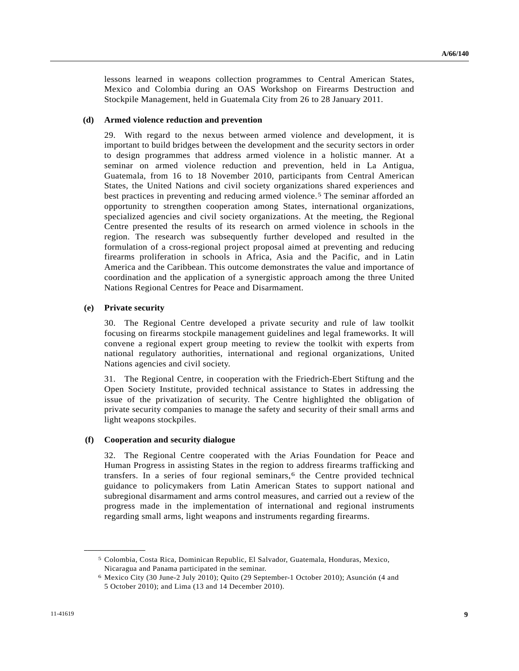lessons learned in weapons collection programmes to Central American States, Mexico and Colombia during an OAS Workshop on Firearms Destruction and Stockpile Management, held in Guatemala City from 26 to 28 January 2011.

#### **(d) Armed violence reduction and prevention**

29. With regard to the nexus between armed violence and development, it is important to build bridges between the development and the security sectors in order to design programmes that address armed violence in a holistic manner. At a seminar on armed violence reduction and prevention, held in La Antigua, Guatemala, from 16 to 18 November 2010, participants from Central American States, the United Nations and civil society organizations shared experiences and best practices in preventing and reducing armed violence.[5](#page-8-0) The seminar afforded an opportunity to strengthen cooperation among States, international organizations, specialized agencies and civil society organizations. At the meeting, the Regional Centre presented the results of its research on armed violence in schools in the region. The research was subsequently further developed and resulted in the formulation of a cross-regional project proposal aimed at preventing and reducing firearms proliferation in schools in Africa, Asia and the Pacific, and in Latin America and the Caribbean. This outcome demonstrates the value and importance of coordination and the application of a synergistic approach among the three United Nations Regional Centres for Peace and Disarmament.

#### **(e) Private security**

<span id="page-8-1"></span><span id="page-8-0"></span>**\_\_\_\_\_\_\_\_\_\_\_\_\_\_\_\_\_\_** 

30. The Regional Centre developed a private security and rule of law toolkit focusing on firearms stockpile management guidelines and legal frameworks. It will convene a regional expert group meeting to review the toolkit with experts from national regulatory authorities, international and regional organizations, United Nations agencies and civil society.

31. The Regional Centre, in cooperation with the Friedrich-Ebert Stiftung and the Open Society Institute, provided technical assistance to States in addressing the issue of the privatization of security. The Centre highlighted the obligation of private security companies to manage the safety and security of their small arms and light weapons stockpiles.

#### **(f) Cooperation and security dialogue**

32. The Regional Centre cooperated with the Arias Foundation for Peace and Human Progress in assisting States in the region to address firearms trafficking and transfers. In a series of four regional seminars, $6$  the Centre provided technical guidance to policymakers from Latin American States to support national and subregional disarmament and arms control measures, and carried out a review of the progress made in the implementation of international and regional instruments regarding small arms, light weapons and instruments regarding firearms.

<sup>5</sup> Colombia, Costa Rica, Dominican Republic, El Salvador, Guatemala, Honduras, Mexico, Nicaragua and Panama participated in the seminar.

<sup>6</sup> Mexico City (30 June-2 July 2010); Quito (29 September-1 October 2010); Asunción (4 and 5 October 2010); and Lima (13 and 14 December 2010).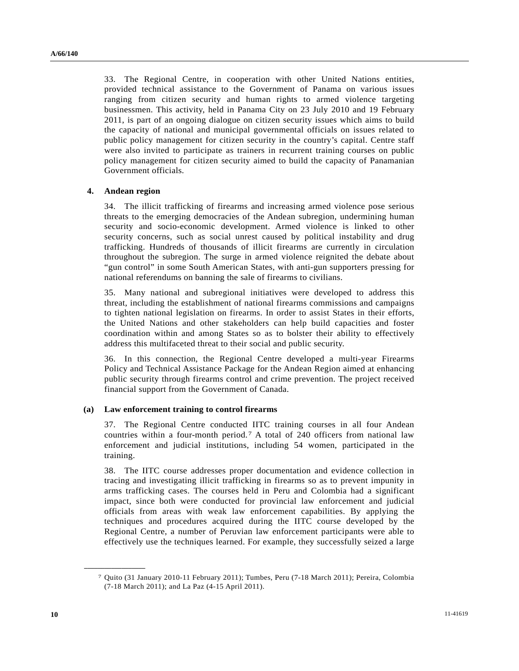33. The Regional Centre, in cooperation with other United Nations entities, provided technical assistance to the Government of Panama on various issues ranging from citizen security and human rights to armed violence targeting businessmen. This activity, held in Panama City on 23 July 2010 and 19 February 2011, is part of an ongoing dialogue on citizen security issues which aims to build the capacity of national and municipal governmental officials on issues related to public policy management for citizen security in the country's capital. Centre staff were also invited to participate as trainers in recurrent training courses on public policy management for citizen security aimed to build the capacity of Panamanian Government officials.

#### **4. Andean region**

34. The illicit trafficking of firearms and increasing armed violence pose serious threats to the emerging democracies of the Andean subregion, undermining human security and socio-economic development. Armed violence is linked to other security concerns, such as social unrest caused by political instability and drug trafficking. Hundreds of thousands of illicit firearms are currently in circulation throughout the subregion. The surge in armed violence reignited the debate about "gun control" in some South American States, with anti-gun supporters pressing for national referendums on banning the sale of firearms to civilians.

35. Many national and subregional initiatives were developed to address this threat, including the establishment of national firearms commissions and campaigns to tighten national legislation on firearms. In order to assist States in their efforts, the United Nations and other stakeholders can help build capacities and foster coordination within and among States so as to bolster their ability to effectively address this multifaceted threat to their social and public security.

36. In this connection, the Regional Centre developed a multi-year Firearms Policy and Technical Assistance Package for the Andean Region aimed at enhancing public security through firearms control and crime prevention. The project received financial support from the Government of Canada.

#### **(a) Law enforcement training to control firearms**

37. The Regional Centre conducted IITC training courses in all four Andean countries within a four-month period.[7](#page-9-0) A total of 240 officers from national law enforcement and judicial institutions, including 54 women, participated in the training.

38. The IITC course addresses proper documentation and evidence collection in tracing and investigating illicit trafficking in firearms so as to prevent impunity in arms trafficking cases. The courses held in Peru and Colombia had a significant impact, since both were conducted for provincial law enforcement and judicial officials from areas with weak law enforcement capabilities. By applying the techniques and procedures acquired during the IITC course developed by the Regional Centre, a number of Peruvian law enforcement participants were able to effectively use the techniques learned. For example, they successfully seized a large

<span id="page-9-0"></span>**\_\_\_\_\_\_\_\_\_\_\_\_\_\_\_\_\_\_** 

<sup>7</sup> Quito (31 January 2010-11 February 2011); Tumbes, Peru (7-18 March 2011); Pereira, Colombia (7-18 March 2011); and La Paz (4-15 April 2011).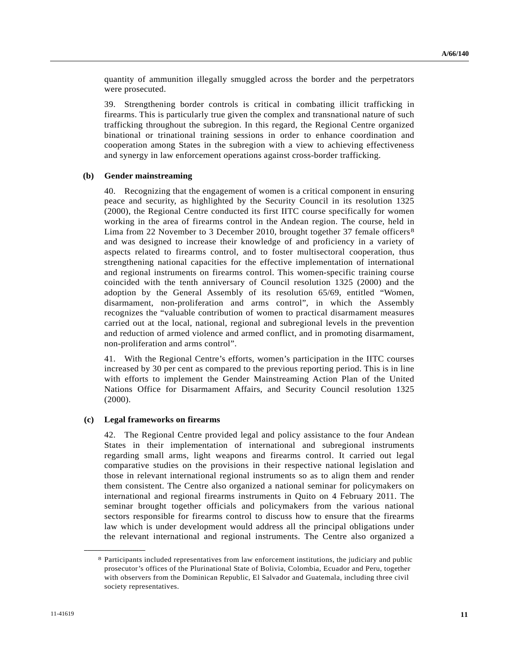quantity of ammunition illegally smuggled across the border and the perpetrators were prosecuted.

39. Strengthening border controls is critical in combating illicit trafficking in firearms. This is particularly true given the complex and transnational nature of such trafficking throughout the subregion. In this regard, the Regional Centre organized binational or trinational training sessions in order to enhance coordination and cooperation among States in the subregion with a view to achieving effectiveness and synergy in law enforcement operations against cross-border trafficking.

#### **(b) Gender mainstreaming**

40. Recognizing that the engagement of women is a critical component in ensuring peace and security, as highlighted by the Security Council in its resolution 1325 (2000), the Regional Centre conducted its first IITC course specifically for women working in the area of firearms control in the Andean region. The course, held in Lima from 22 November to 3 December 2010, brought together 37 female officers<sup>[8](#page-10-0)</sup> and was designed to increase their knowledge of and proficiency in a variety of aspects related to firearms control, and to foster multisectoral cooperation, thus strengthening national capacities for the effective implementation of international and regional instruments on firearms control. This women-specific training course coincided with the tenth anniversary of Council resolution 1325 (2000) and the adoption by the General Assembly of its resolution 65/69, entitled "Women, disarmament, non-proliferation and arms control", in which the Assembly recognizes the "valuable contribution of women to practical disarmament measures carried out at the local, national, regional and subregional levels in the prevention and reduction of armed violence and armed conflict, and in promoting disarmament, non-proliferation and arms control".

41. With the Regional Centre's efforts, women's participation in the IITC courses increased by 30 per cent as compared to the previous reporting period. This is in line with efforts to implement the Gender Mainstreaming Action Plan of the United Nations Office for Disarmament Affairs, and Security Council resolution 1325 (2000).

#### **(c) Legal frameworks on firearms**

<span id="page-10-0"></span>**\_\_\_\_\_\_\_\_\_\_\_\_\_\_\_\_\_\_** 

42. The Regional Centre provided legal and policy assistance to the four Andean States in their implementation of international and subregional instruments regarding small arms, light weapons and firearms control. It carried out legal comparative studies on the provisions in their respective national legislation and those in relevant international regional instruments so as to align them and render them consistent. The Centre also organized a national seminar for policymakers on international and regional firearms instruments in Quito on 4 February 2011. The seminar brought together officials and policymakers from the various national sectors responsible for firearms control to discuss how to ensure that the firearms law which is under development would address all the principal obligations under the relevant international and regional instruments. The Centre also organized a

<sup>8</sup> Participants included representatives from law enforcement institutions, the judiciary and public prosecutor's offices of the Plurinational State of Bolivia, Colombia, Ecuador and Peru, together with observers from the Dominican Republic, El Salvador and Guatemala, including three civil society representatives.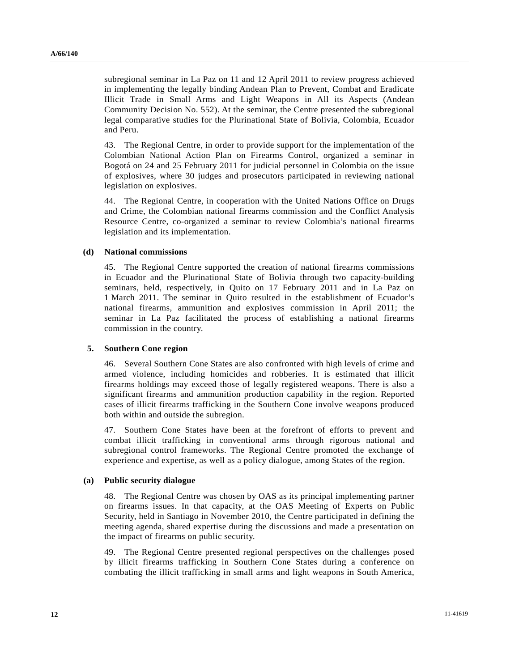subregional seminar in La Paz on 11 and 12 April 2011 to review progress achieved in implementing the legally binding Andean Plan to Prevent, Combat and Eradicate Illicit Trade in Small Arms and Light Weapons in All its Aspects (Andean Community Decision No. 552). At the seminar, the Centre presented the subregional legal comparative studies for the Plurinational State of Bolivia, Colombia, Ecuador and Peru.

43. The Regional Centre, in order to provide support for the implementation of the Colombian National Action Plan on Firearms Control, organized a seminar in Bogotá on 24 and 25 February 2011 for judicial personnel in Colombia on the issue of explosives, where 30 judges and prosecutors participated in reviewing national legislation on explosives.

44. The Regional Centre, in cooperation with the United Nations Office on Drugs and Crime, the Colombian national firearms commission and the Conflict Analysis Resource Centre, co-organized a seminar to review Colombia's national firearms legislation and its implementation.

#### **(d) National commissions**

45. The Regional Centre supported the creation of national firearms commissions in Ecuador and the Plurinational State of Bolivia through two capacity-building seminars, held, respectively, in Quito on 17 February 2011 and in La Paz on 1 March 2011. The seminar in Quito resulted in the establishment of Ecuador's national firearms, ammunition and explosives commission in April 2011; the seminar in La Paz facilitated the process of establishing a national firearms commission in the country.

#### **5. Southern Cone region**

46. Several Southern Cone States are also confronted with high levels of crime and armed violence, including homicides and robberies. It is estimated that illicit firearms holdings may exceed those of legally registered weapons. There is also a significant firearms and ammunition production capability in the region. Reported cases of illicit firearms trafficking in the Southern Cone involve weapons produced both within and outside the subregion.

47. Southern Cone States have been at the forefront of efforts to prevent and combat illicit trafficking in conventional arms through rigorous national and subregional control frameworks. The Regional Centre promoted the exchange of experience and expertise, as well as a policy dialogue, among States of the region.

#### **(a) Public security dialogue**

48. The Regional Centre was chosen by OAS as its principal implementing partner on firearms issues. In that capacity, at the OAS Meeting of Experts on Public Security, held in Santiago in November 2010, the Centre participated in defining the meeting agenda, shared expertise during the discussions and made a presentation on the impact of firearms on public security.

49. The Regional Centre presented regional perspectives on the challenges posed by illicit firearms trafficking in Southern Cone States during a conference on combating the illicit trafficking in small arms and light weapons in South America,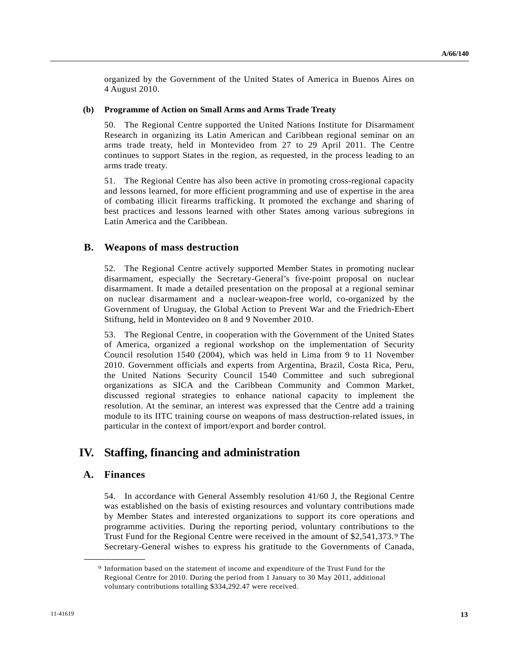organized by the Government of the United States of America in Buenos Aires on 4 August 2010.

#### **(b) Programme of Action on Small Arms and Arms Trade Treaty**

50. The Regional Centre supported the United Nations Institute for Disarmament Research in organizing its Latin American and Caribbean regional seminar on an arms trade treaty, held in Montevideo from 27 to 29 April 2011. The Centre continues to support States in the region, as requested, in the process leading to an arms trade treaty.

51. The Regional Centre has also been active in promoting cross-regional capacity and lessons learned, for more efficient programming and use of expertise in the area of combating illicit firearms trafficking. It promoted the exchange and sharing of best practices and lessons learned with other States among various subregions in Latin America and the Caribbean.

#### **B. Weapons of mass destruction**

52. The Regional Centre actively supported Member States in promoting nuclear disarmament, especially the Secretary-General's five-point proposal on nuclear disarmament. It made a detailed presentation on the proposal at a regional seminar on nuclear disarmament and a nuclear-weapon-free world, co-organized by the Government of Uruguay, the Global Action to Prevent War and the Friedrich-Ebert Stiftung, held in Montevideo on 8 and 9 November 2010.

53. The Regional Centre, in cooperation with the Government of the United States of America, organized a regional workshop on the implementation of Security Council resolution 1540 (2004), which was held in Lima from 9 to 11 November 2010. Government officials and experts from Argentina, Brazil, Costa Rica, Peru, the United Nations Security Council 1540 Committee and such subregional organizations as SICA and the Caribbean Community and Common Market, discussed regional strategies to enhance national capacity to implement the resolution. At the seminar, an interest was expressed that the Centre add a training module to its IITC training course on weapons of mass destruction-related issues, in particular in the context of import/export and border control.

## **IV. Staffing, financing and administration**

### **A. Finances**

<span id="page-12-0"></span>**\_\_\_\_\_\_\_\_\_\_\_\_\_\_\_\_\_\_** 

54. In accordance with General Assembly resolution 41/60 J, the Regional Centre was established on the basis of existing resources and voluntary contributions made by Member States and interested organizations to support its core operations and programme activities. During the reporting period, voluntary contributions to the Trust Fund for the Regional Centre were received in the amount of \$2,541,373.[9](#page-12-0) The Secretary-General wishes to express his gratitude to the Governments of Canada,

<sup>9</sup> Information based on the statement of income and expenditure of the Trust Fund for the Regional Centre for 2010. During the period from 1 January to 30 May 2011, additional voluntary contributions totalling \$334,292.47 were received.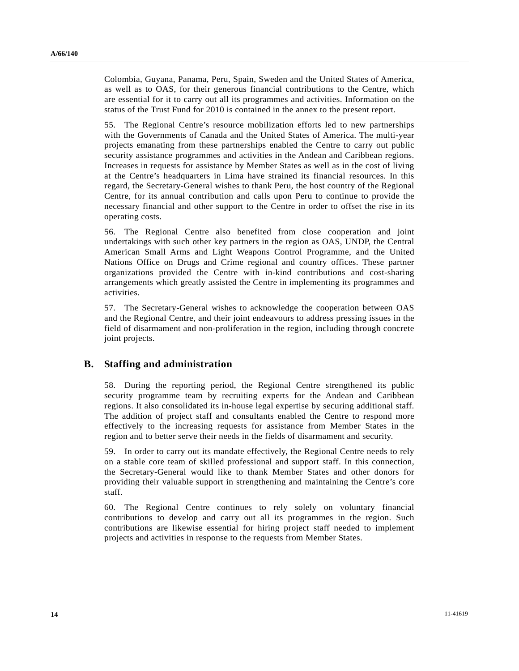Colombia, Guyana, Panama, Peru, Spain, Sweden and the United States of America, as well as to OAS, for their generous financial contributions to the Centre, which are essential for it to carry out all its programmes and activities. Information on the status of the Trust Fund for 2010 is contained in the annex to the present report.

55. The Regional Centre's resource mobilization efforts led to new partnerships with the Governments of Canada and the United States of America. The multi-year projects emanating from these partnerships enabled the Centre to carry out public security assistance programmes and activities in the Andean and Caribbean regions. Increases in requests for assistance by Member States as well as in the cost of living at the Centre's headquarters in Lima have strained its financial resources. In this regard, the Secretary-General wishes to thank Peru, the host country of the Regional Centre, for its annual contribution and calls upon Peru to continue to provide the necessary financial and other support to the Centre in order to offset the rise in its operating costs.

56. The Regional Centre also benefited from close cooperation and joint undertakings with such other key partners in the region as OAS, UNDP, the Central American Small Arms and Light Weapons Control Programme, and the United Nations Office on Drugs and Crime regional and country offices. These partner organizations provided the Centre with in-kind contributions and cost-sharing arrangements which greatly assisted the Centre in implementing its programmes and activities.

57. The Secretary-General wishes to acknowledge the cooperation between OAS and the Regional Centre, and their joint endeavours to address pressing issues in the field of disarmament and non-proliferation in the region, including through concrete joint projects.

### **B. Staffing and administration**

58. During the reporting period, the Regional Centre strengthened its public security programme team by recruiting experts for the Andean and Caribbean regions. It also consolidated its in-house legal expertise by securing additional staff. The addition of project staff and consultants enabled the Centre to respond more effectively to the increasing requests for assistance from Member States in the region and to better serve their needs in the fields of disarmament and security.

59. In order to carry out its mandate effectively, the Regional Centre needs to rely on a stable core team of skilled professional and support staff. In this connection, the Secretary-General would like to thank Member States and other donors for providing their valuable support in strengthening and maintaining the Centre's core staff.

60. The Regional Centre continues to rely solely on voluntary financial contributions to develop and carry out all its programmes in the region. Such contributions are likewise essential for hiring project staff needed to implement projects and activities in response to the requests from Member States.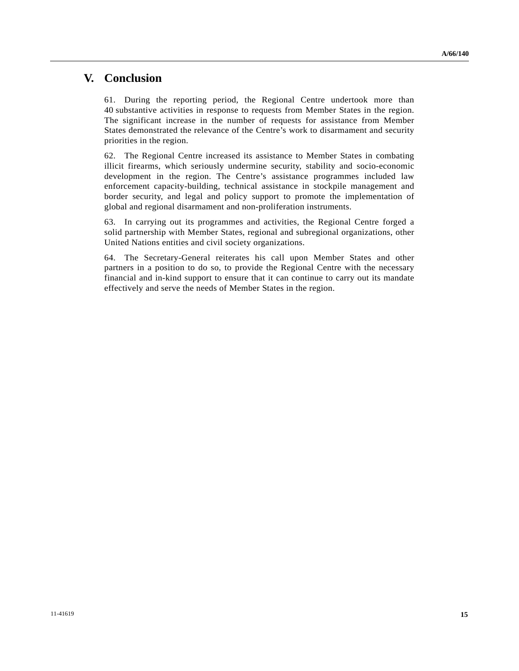## **V. Conclusion**

61. During the reporting period, the Regional Centre undertook more than 40 substantive activities in response to requests from Member States in the region. The significant increase in the number of requests for assistance from Member States demonstrated the relevance of the Centre's work to disarmament and security priorities in the region.

62. The Regional Centre increased its assistance to Member States in combating illicit firearms, which seriously undermine security, stability and socio-economic development in the region. The Centre's assistance programmes included law enforcement capacity-building, technical assistance in stockpile management and border security, and legal and policy support to promote the implementation of global and regional disarmament and non-proliferation instruments.

63. In carrying out its programmes and activities, the Regional Centre forged a solid partnership with Member States, regional and subregional organizations, other United Nations entities and civil society organizations.

64. The Secretary-General reiterates his call upon Member States and other partners in a position to do so, to provide the Regional Centre with the necessary financial and in-kind support to ensure that it can continue to carry out its mandate effectively and serve the needs of Member States in the region.